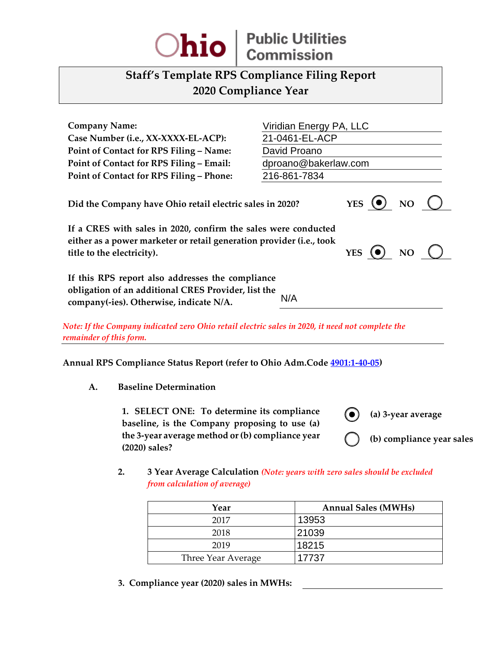

## **Staff's Template RPS Compliance Filing Report 2020 Compliance Year**

| <b>Company Name:</b>                                                                                                                                                                                                     | Viridian Energy PA, LLC                          |  |  |  |  |
|--------------------------------------------------------------------------------------------------------------------------------------------------------------------------------------------------------------------------|--------------------------------------------------|--|--|--|--|
| Case Number (i.e., XX-XXXX-EL-ACP):                                                                                                                                                                                      | 21-0461-EL-ACP                                   |  |  |  |  |
| Point of Contact for RPS Filing - Name:                                                                                                                                                                                  | David Proano                                     |  |  |  |  |
| Point of Contact for RPS Filing - Email:                                                                                                                                                                                 | dproano@bakerlaw.com                             |  |  |  |  |
| Point of Contact for RPS Filing - Phone:                                                                                                                                                                                 | 216-861-7834                                     |  |  |  |  |
| Did the Company have Ohio retail electric sales in 2020?                                                                                                                                                                 | YES $\left( \bullet \right)$ NO $\left( \right)$ |  |  |  |  |
| If a CRES with sales in 2020, confirm the sales were conducted<br>either as a power marketer or retail generation provider (i.e., took<br>YES $\left( \bullet \right)$ NO $\left( \right)$<br>title to the electricity). |                                                  |  |  |  |  |
| If this RPS report also addresses the compliance<br>obligation of an additional CRES Provider, list the<br>N/A<br>company(-ies). Otherwise, indicate N/A.                                                                |                                                  |  |  |  |  |

*Note: If the Company indicated zero Ohio retail electric sales in 2020, it need not complete the remainder of this form.*

**Annual RPS Compliance Status Report (refer to Ohio Adm.Code [4901:1-40-05\)](http://codes.ohio.gov/oac/4901:1-40-05v1)** 

**A. Baseline Determination**

**1. SELECT ONE: To determine its compliance baseline, is the Company proposing to use (a) the 3-year average method or (b) compliance year (2020) sales?**  $N/A$ <br>  $es \text{ in } 2020, \text{ it}$ <br>  $\cdot$  Adm.Code<br>
simpliance<br>
to use (a)<br>  $\cdot$  in years with<br>  $\cdot$  13953

**(a) 3-year average**

**(b) compliance year sales**

**2. 3 Year Average Calculation** *(Note: years with zero sales should be excluded from calculation of average)*

| Year               | <b>Annual Sales (MWHs)</b> |  |
|--------------------|----------------------------|--|
| 2017               | 13953                      |  |
| 2018               | 21039                      |  |
| 2019               | 18215                      |  |
| Three Year Average | 17737                      |  |

**3. Compliance year (2020) sales in MWHs:**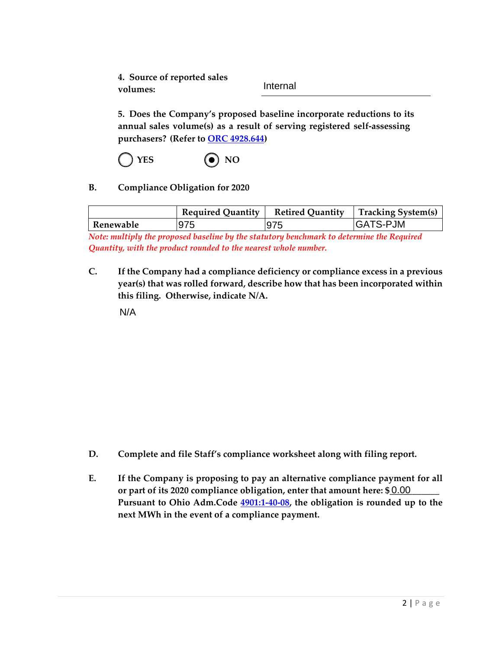**4. Source of reported sales volumes:**

Internal

**5. Does the Company's proposed baseline incorporate reductions to its annual sales volume(s) as a result of serving registered self-assessing purchasers? (Refer to ORC [4928.644\)](http://codes.ohio.gov/orc/4928.644v1)**

 $YES$  ( $\bullet$ ) NO

**B. Compliance Obligation for 2020**

|           | <b>Required Quantity</b> |      | Retired Quantity   Tracking System(s) |
|-----------|--------------------------|------|---------------------------------------|
| Renewable | 975                      | 1975 | <b>IGATS-PJM</b>                      |

*Note: multiply the proposed baseline by the statutory benchmark to determine the Required Quantity, with the product rounded to the nearest whole number.*

**C. If the Company had a compliance deficiency or compliance excess in a previous year(s) that was rolled forward, describe how that has been incorporated within this filing. Otherwise, indicate N/A.**

N/A

- **D. Complete and file Staff's compliance worksheet along with filing report.**
- **E. If the Company is proposing to pay an alternative compliance payment for all** or part of its 2020 compliance obligation, enter that amount here: \$ 0.00 **Pursuant to Ohio Adm.Code [4901:1-40-08,](http://codes.ohio.gov/oac/4901:1-40-08v1) the obligation is rounded up to the next MWh in the event of a compliance payment.**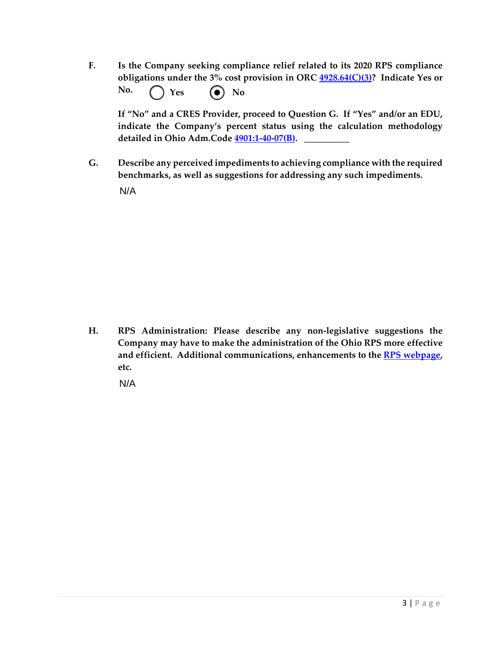**F. Is the Company seeking compliance relief related to its 2020 RPS compliance obligations under the 3% cost provision in ORC [4928.64\(C\)\(3\)?](http://codes.ohio.gov/orc/4928.64) Indicate Yes or No.**  $Yes$  **(a)** No

**If "No" and a CRES Provider, proceed to Question G. If "Yes" and/or an EDU, indicate the Company's percent status using the calculation methodology detailed in Ohio Adm.Code [4901:1-40-07\(B\).](http://codes.ohio.gov/oac/4901:1-40-07v1) \_\_\_\_\_\_\_\_\_\_**

**G. Describe any perceived impediments to achieving compliance with the required benchmarks, as well as suggestions for addressing any such impediments.**

N/A

**H. RPS Administration: Please describe any non-legislative suggestions the Company may have to make the administration of the Ohio RPS more effective and efficient. Additional communications, enhancements to the [RPS webpage,](http://www.puco.ohio.gov/puco/index.cfm/industry-information/industry-topics/ohioe28099s-renewable-and-advanced-energy-portfolio-standard/#sthash.7y6ldoLk.dpbs) etc.**

N/A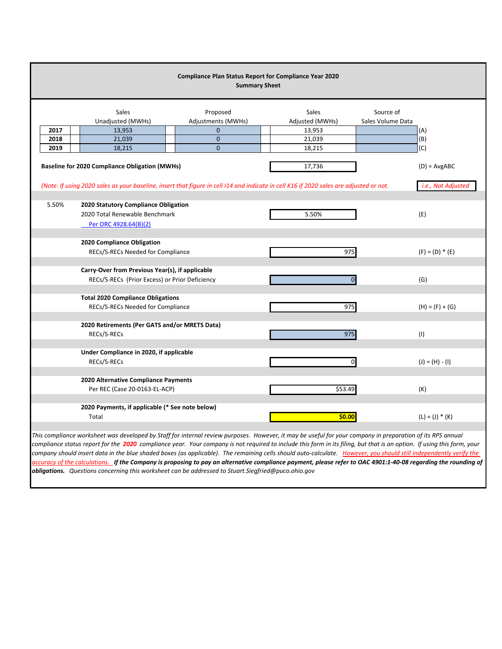| <b>Compliance Plan Status Report for Compliance Year 2020</b><br><b>Summary Sheet</b>                                                                                                                                                              |                                                                       |                                |                          |                                |                   |  |  |
|----------------------------------------------------------------------------------------------------------------------------------------------------------------------------------------------------------------------------------------------------|-----------------------------------------------------------------------|--------------------------------|--------------------------|--------------------------------|-------------------|--|--|
|                                                                                                                                                                                                                                                    | <b>Sales</b><br>Unadjusted (MWHs)                                     | Proposed<br>Adjustments (MWHs) | Sales<br>Adjusted (MWHs) | Source of<br>Sales Volume Data |                   |  |  |
| 2017                                                                                                                                                                                                                                               | 13,953                                                                | $\Omega$                       | 13,953                   |                                | (A)               |  |  |
| 2018                                                                                                                                                                                                                                               | 21,039                                                                | $\mathbf{0}$                   | 21,039                   |                                | (B)               |  |  |
| 2019                                                                                                                                                                                                                                               | 18,215                                                                | $\Omega$                       | 18,215                   |                                | (C)               |  |  |
| 17,736<br><b>Baseline for 2020 Compliance Obligation (MWHs)</b><br>$(D) = AvgABC$<br>(Note: If using 2020 sales as your baseline, insert that figure in cell I14 and indicate in cell K16 if 2020 sales are adjusted or not.<br>i.e., Not Adjusted |                                                                       |                                |                          |                                |                   |  |  |
| 5.50%                                                                                                                                                                                                                                              | 2020 Statutory Compliance Obligation                                  |                                |                          |                                |                   |  |  |
|                                                                                                                                                                                                                                                    | 2020 Total Renewable Benchmark                                        |                                | 5.50%                    |                                | (E)               |  |  |
|                                                                                                                                                                                                                                                    | Per ORC 4928.64(B)(2)                                                 |                                |                          |                                |                   |  |  |
|                                                                                                                                                                                                                                                    | 2020 Compliance Obligation<br>RECs/S-RECs Needed for Compliance       |                                | 975                      |                                | $(F) = (D) * (E)$ |  |  |
| Carry-Over from Previous Year(s), if applicable                                                                                                                                                                                                    |                                                                       |                                |                          |                                |                   |  |  |
| RECs/S-RECs (Prior Excess) or Prior Deficiency<br>$\Omega$                                                                                                                                                                                         |                                                                       |                                |                          | (G)                            |                   |  |  |
|                                                                                                                                                                                                                                                    |                                                                       |                                |                          |                                |                   |  |  |
|                                                                                                                                                                                                                                                    | <b>Total 2020 Compliance Obligations</b>                              |                                |                          |                                |                   |  |  |
|                                                                                                                                                                                                                                                    | RECs/S-RECs Needed for Compliance<br>975                              |                                |                          |                                |                   |  |  |
|                                                                                                                                                                                                                                                    |                                                                       |                                |                          |                                | $(H) = (F) + (G)$ |  |  |
|                                                                                                                                                                                                                                                    | 2020 Retirements (Per GATS and/or MRETS Data)<br>RECs/S-RECs          |                                | 975                      |                                | (1)               |  |  |
|                                                                                                                                                                                                                                                    | Under Compliance in 2020, if applicable<br>RECs/S-RECs                |                                |                          | $\mathbf{0}$                   | $(J) = (H) - (I)$ |  |  |
|                                                                                                                                                                                                                                                    | 2020 Alternative Compliance Payments<br>Per REC (Case 20-0163-EL-ACP) |                                | \$53.49                  |                                | (K)               |  |  |
|                                                                                                                                                                                                                                                    | 2020 Payments, if applicable (* See note below)<br>Total              |                                | \$0.00                   |                                | $(L) = (J) * (K)$ |  |  |

*This compliance worksheet was developed by Staff for internal review purposes. However, it may be useful for your company in preparation of its RPS annual compliance status report for the 2020 compliance year. Your company is not required to include this form in its filing, but that is an option. If using this form, your*  company should insert data in the blue shaded boxes (as applicable). The remaining cells should auto-calculate. However, you should still independently verify the *accuracy of the calculations. If the Company is proposing to pay an alternative compliance payment, please refer to OAC 4901:1-40-08 regarding the rounding of obligations. Questions concerning this worksheet can be addressed to Stuart.Siegfried@puco.ohio.gov*